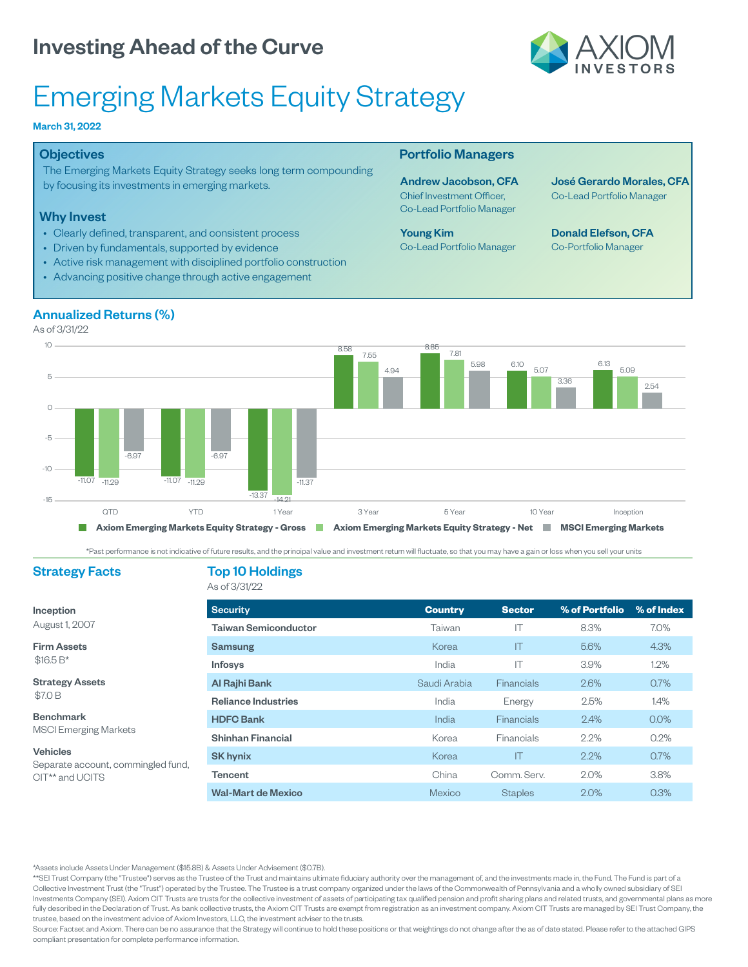

# Emerging Markets Equity Strategy

#### March 31, 2022

#### **Objectives**

The Emerging Markets Equity Strategy seeks long term compounding by focusing its investments in emerging markets.

#### Why Invest

- Clearly defined, transparent, and consistent process
- Driven by fundamentals, supported by evidence
- Active risk management with disciplined portfolio construction
- Advancing positive change through active engagement

#### Portfolio Managers

Andrew Jacobson, CFA Chief Investment Officer, Co-Lead Portfolio Manager

Young Kim Co-Lead Portfolio Manager José Gerardo Morales, CFA Co-Lead Portfolio Manager

Donald Elefson, CFA Co-Portfolio Manager



As of 3/31/22



Past performance is not indicative of future results, and the principal value and investment return will fluctuate, so that you may have a gain or loss when you sell your units

### Strategy Facts Top 10 Holdings

#### As of 3/31/22

| Inception                                                         | <b>Security</b>             | <b>Country</b> | <b>Sector</b>           | % of Portfolio | % of Index |
|-------------------------------------------------------------------|-----------------------------|----------------|-------------------------|----------------|------------|
| August 1, 2007                                                    | <b>Taiwan Semiconductor</b> | Taiwan         |                         | 8.3%           | 7.0%       |
| <b>Firm Assets</b><br>$$16.5 B*$                                  | Samsung                     | Korea          | $\mathsf{I} \mathsf{T}$ | 5.6%           | 4.3%       |
|                                                                   | <b>Infosys</b>              | India          | IΤ                      | 3.9%           | 1.2%       |
| <b>Strategy Assets</b><br>\$7.0 B                                 | Al Rajhi Bank               | Saudi Arabia   | Financials              | 2.6%           | 0.7%       |
|                                                                   | <b>Reliance Industries</b>  | India          | Energy                  | 2.5%           | 1.4%       |
| <b>Benchmark</b><br><b>MSCI Emerging Markets</b>                  | <b>HDFC Bank</b>            | India          | Financials              | 2.4%           | $0.0\%$    |
|                                                                   | <b>Shinhan Financial</b>    | Korea          | Financials              | 2.2%           | 0.2%       |
| <b>Vehicles</b>                                                   | <b>SK hynix</b>             | Korea          | ΙT                      | 2.2%           | 0.7%       |
| Separate account, commingled fund,<br>CIT <sup>**</sup> and UCITS | Tencent                     | China          | Comm. Serv.             | 2.0%           | 3.8%       |
|                                                                   | <b>Wal-Mart de Mexico</b>   | Mexico         | <b>Staples</b>          | 2.0%           | 0.3%       |

Assets include Assets Under Management (\$15.8B) & Assets Under Advisement (\$0.7B).

\*\*SEI Trust Company (the "Trustee") serves as the Trustee of the Trust and maintains ultimate fiduciary authority over the management of, and the investments made in, the Fund. The Fund is part of a Collective Investment Trust (the "Trust") operated by the Trustee. The Trustee is a trust company organized under the laws of the Commonwealth of Pennsylvania and a wholly owned subsidiary of SEI Investments Company (SEI). Axiom CIT Trusts are trusts for the collective investment of assets of participating tax qualified pension and profit sharing plans and related trusts, and governmental plans as more fully described in the Declaration of Trust. As bank collective trusts, the Axiom CIT Trusts are exempt from registration as an investment company. Axiom CIT Trusts are managed by SEI Trust Company, the trustee, based on the investment advice of Axiom Investors, LLC, the investment adviser to the trusts.

Source: Factset and Axiom. There can be no assurance that the Strategy will continue to hold these positions or that weightings do not change after the as of date stated. Please refer to the attached GIPS compliant presentation for complete performance information.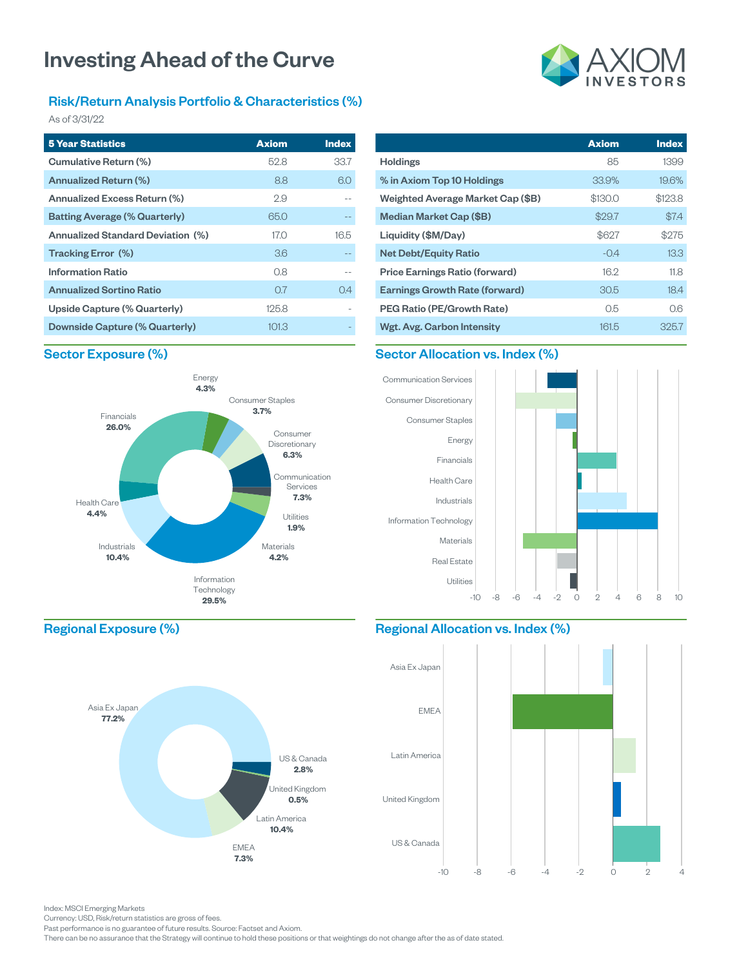### Risk/Return Analysis Portfolio & Characteristics (%)

As of 3/31/22

| <b>5 Year Statistics</b>                 | <b>Axiom</b>    | <b>Index</b> |
|------------------------------------------|-----------------|--------------|
| Cumulative Return (%)                    | 52.8            | 33.7         |
| Annualized Return (%)                    | 8.8             | 6.0          |
| Annualized Excess Return (%)             | 2.9             |              |
| <b>Batting Average (% Quarterly)</b>     | 65.0            |              |
| <b>Annualized Standard Deviation (%)</b> | 17.0            | 165          |
| Tracking Error (%)                       | 36 <sup>°</sup> |              |
| <b>Information Ratio</b>                 | 0.8             |              |
| <b>Annualized Sortino Ratio</b>          | 0.7             | 0.4          |
| Upside Capture (% Quarterly)             | 125.8           |              |
| Downside Capture (% Quarterly)           | 101.3           |              |

#### **Axiom** Holdings 85 % in Axiom Top 10 Holdings 33.9% Weighted Average Market Cap (\$B) \$130.0 Median Market Cap (\$B) \$29.7 Liquidity (\$M/Day) \$627 Net Debt/Equity Ratio -0.4 Price Earnings Ratio (forward) 16.2 **Index** 1399 19.6% \$123.8 \$7.4 \$275 13.3 11.8

Earnings Growth Rate (forward) 30.5 PEG Ratio (PE/Growth Rate) 0.5 Wgt. Avg. Carbon Intensity 161.5

#### Sector Exposure (%)





#### Regional Allocation vs. Index (%)



Regional Exposure (%)



Index: MSCI Emerging Markets

Currency: USD, Risk/return statistics are gross of fees.

Past performance is no guarantee of future results. Source: Factset and Axiom.

There can be no assurance that the Strategy will continue to hold these positions or that weightings do not change after the as of date stated.



18.4 0.6 325.7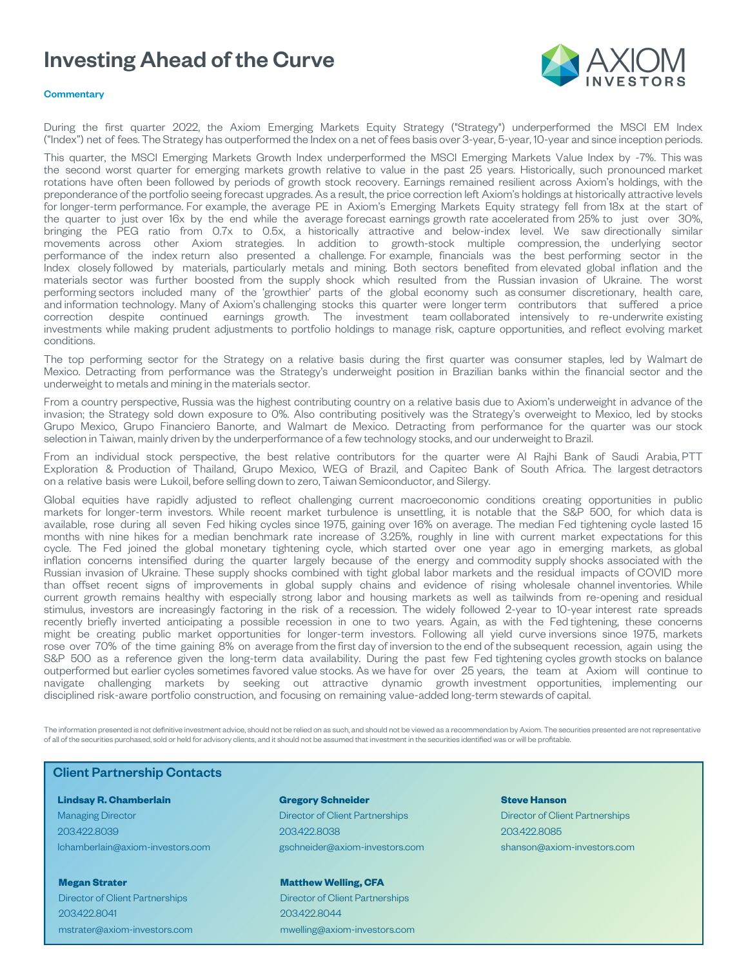

#### **Commentary**

During the first quarter 2022, the Axiom Emerging Markets Equity Strategy ("Strategy") underperformed the MSCI EM Index ("Index") net of fees. The Strategy has outperformed the Index on a net of fees basis over 3-year, 5-year, 10-year and since inception periods.

This quarter, the MSCI Emerging Markets Growth Index underperformed the MSCI Emerging Markets Value Index by -7%. This was the second worst quarter for emerging markets growth relative to value in the past 25 years. Historically, such pronounced market rotations have often been followed by periods of growth stock recovery. Earnings remained resilient across Axiom's holdings, with the preponderance of the portfolio seeing forecast upgrades. As a result, the price correction left Axiom's holdings at historically attractive levels for longer-term performance. For example, the average PE in Axiom's Emerging Markets Equity strategy fell from 18x at the start of the quarter to just over 16x by the end while the average forecast earnings growth rate accelerated from 25% to just over 30%, bringing the PEG ratio from 0.7x to 0.5x, a historically attractive and below-index level. We saw directionally similar movements across other Axiom strategies. In addition to growth-stock multiple compression, the underlying sector performance of the index return also presented a challenge. For example, financials was the best performing sector in the Index closely followed by materials, particularly metals and mining. Both sectors benefited from elevated global inflation and the materials sector was further boosted from the supply shock which resulted from the Russian invasion of Ukraine. The worst performing sectors included many of the 'growthier' parts of the global economy such as consumer discretionary, health care, and information technology. Many of Axiom's challenging stocks this quarter were longer term contributors that suffered a price correction despite continued earnings growth. The investment team collaborated intensively to re-underwrite existing investments while making prudent adjustments to portfolio holdings to manage risk, capture opportunities, and reflect evolving market conditions.

The top performing sector for the Strategy on a relative basis during the first quarter was consumer staples, led by Walmart de Mexico. Detracting from performance was the Strategy's underweight position in Brazilian banks within the financial sector and the underweight to metals and mining in the materials sector.

From a country perspective, Russia was the highest contributing country on a relative basis due to Axiom's underweight in advance of the invasion; the Strategy sold down exposure to 0%. Also contributing positively was the Strategy's overweight to Mexico, led by stocks Grupo Mexico, Grupo Financiero Banorte, and Walmart de Mexico. Detracting from performance for the quarter was our stock selection in Taiwan, mainly driven by the underperformance of a few technology stocks, and our underweight to Brazil.

From an individual stock perspective, the best relative contributors for the quarter were Al Rajhi Bank of Saudi Arabia, PTT Exploration & Production of Thailand, Grupo Mexico, WEG of Brazil, and Capitec Bank of South Africa. The largest detractors on a relative basis were Lukoil, before selling down to zero, Taiwan Semiconductor, and Silergy.

Global equities have rapidly adjusted to reflect challenging current macroeconomic conditions creating opportunities in public markets for longer-term investors. While recent market turbulence is unsettling, it is notable that the S&P 500, for which data is available, rose during all seven Fed hiking cycles since 1975, gaining over 16% on average. The median Fed tightening cycle lasted 15 months with nine hikes for a median benchmark rate increase of 3.25%, roughly in line with current market expectations for this cycle. The Fed joined the global monetary tightening cycle, which started over one year ago in emerging markets, as global inflation concerns intensified during the quarter largely because of the energy and commodity supply shocks associated with the Russian invasion of Ukraine. These supply shocks combined with tight global labor markets and the residual impacts of COVID more than offset recent signs of improvements in global supply chains and evidence of rising wholesale channel inventories. While current growth remains healthy with especially strong labor and housing markets as well as tailwinds from re-opening and residual stimulus, investors are increasingly factoring in the risk of a recession. The widely followed 2-year to 10-year interest rate spreads recently briefly inverted anticipating a possible recession in one to two years. Again, as with the Fed tightening, these concerns might be creating public market opportunities for longer-term investors. Following all yield curve inversions since 1975, markets rose over 70% of the time gaining 8% on average from the first day of inversion to the end of the subsequent recession, again using the S&P 500 as a reference given the long-term data availability. During the past few Fed tightening cycles growth stocks on balance outperformed but earlier cycles sometimes favored value stocks. As we have for over 25 years, the team at Axiom will continue to navigate challenging markets by seeking out attractive dynamic growth investment opportunities, implementing our disciplined risk-aware portfolio construction, and focusing on remaining value-added long-term stewards of capital.

The information presented is not definitive investment advice, should not be relied on as such, and should not be viewed as a recommendation by Axiom. The securities presented are not representative of all of the securities purchased, sold or held for advisory clients, and it should not be assumed that investment in the securities identified was or will be profitable.

#### Client Partnership Contacts

#### **Lindsay R. Chamberlain**

Managing Director 203.422.8039 lchamberlain@axiom-investors.com

**Megan Strater** Director of Client Partnerships 203.422.8041 mstrater@axiom-investors.com

#### **Gregory Schneider** Director of Client Partnerships 203.422.8038 gschneider@axiom-investors.com

**Matthew Welling, CFA** Director of Client Partnerships 203.422.8044

mwelling@axiom-investors.com

#### **Steve Hanson** Director of Client Partnerships 203.422.8085 shanson@axiom-investors.com